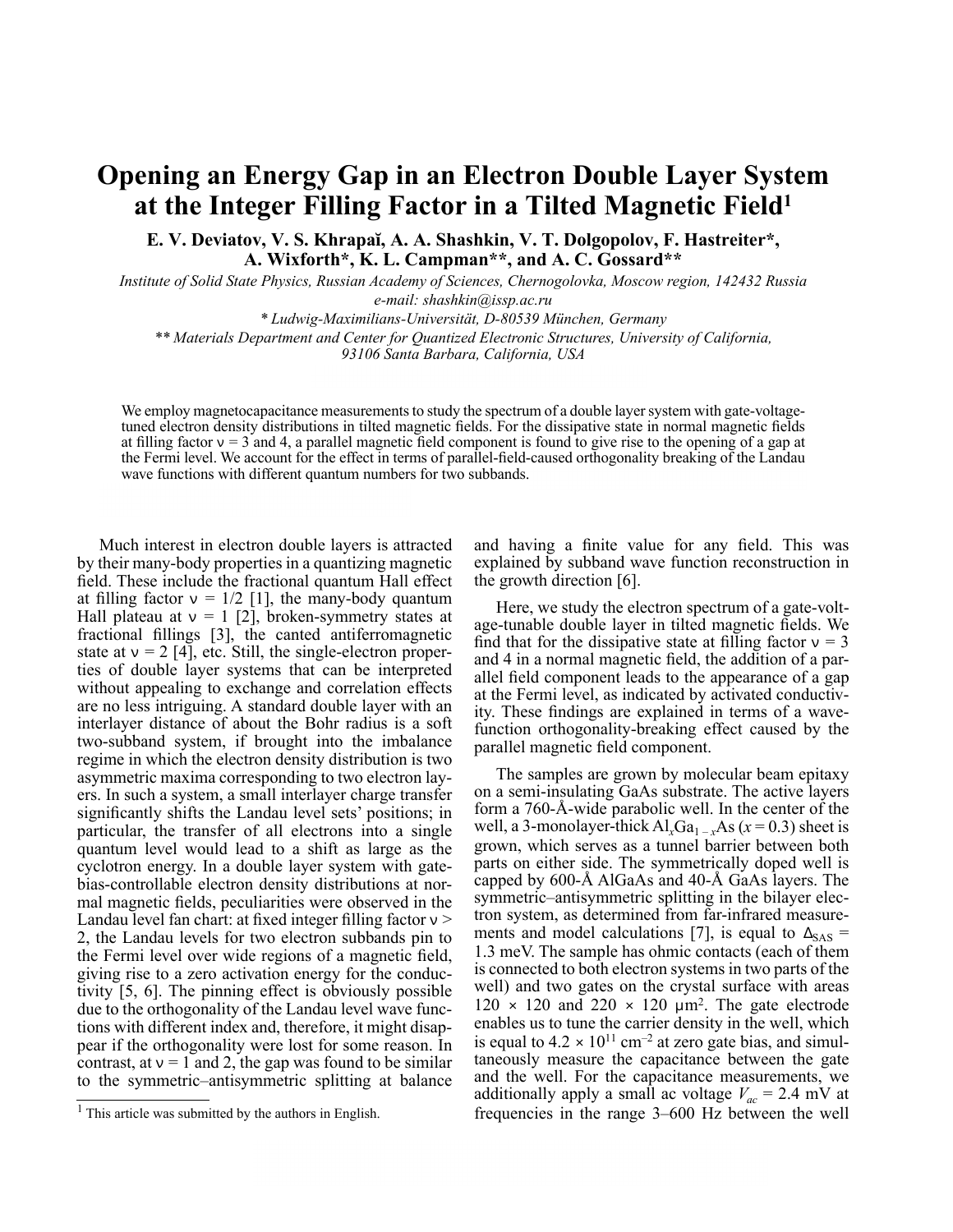## **Opening an Energy Gap in an Electron Double Layer System at the Integer Filling Factor in a Tilted Magnetic Field 1**

**E. V. Deviatov, V. S. Khrapaĭ, A. A. Shashkin, V. T. Dolgopolov, F. Hastreiter\*, A. Wixforth\*, K. L. Campman\*\*, and A. C. Gossard\*\***

*Institute of Solid State Physics, Russian Academy of Sciences, Chernogolovka, Moscow region, 142432 Russia e-mail: shashkin@issp.ac.ru*

*\* Ludwig-Maximilians-Universität, D-80539 München, Germany \*\* Materials Department and Center for Quantized Electronic Structures, University of California, 93106 Santa Barbara, California, USA*

We employ magnetocapacitance measurements to study the spectrum of a double layer system with gate-voltagetuned electron density distributions in tilted magnetic fields. For the dissipative state in normal magnetic fields at filling factor  $v = 3$  and 4, a parallel magnetic field component is found to give rise to the opening of a gap at the Fermi level. We account for the effect in terms of parallel-field-caused orthogonality breaking of the Landau wave functions with different quantum numbers for two subbands.

Much interest in electron double layers is attracted by their many-body properties in a quantizing magnetic field. These include the fractional quantum Hall effect at filling factor  $v = 1/2$  [1], the many-body quantum Hall plateau at  $v = 1$  [2], broken-symmetry states at fractional fillings [3], the canted antiferromagnetic state at  $v = 2$  [4], etc. Still, the single-electron properties of double layer systems that can be interpreted without appealing to exchange and correlation effects are no less intriguing. A standard double layer with an interlayer distance of about the Bohr radius is a soft two-subband system, if brought into the imbalance regime in which the electron density distribution is two asymmetric maxima corresponding to two electron layers. In such a system, a small interlayer charge transfer significantly shifts the Landau level sets' positions; in particular, the transfer of all electrons into a single quantum level would lead to a shift as large as the cyclotron energy. In a double layer system with gatebias-controllable electron density distributions at normal magnetic fields, peculiarities were observed in the Landau level fan chart: at fixed integer filling factor  $v >$ 2, the Landau levels for two electron subbands pin to the Fermi level over wide regions of a magnetic field, giving rise to a zero activation energy for the conductivity [5, 6]. The pinning effect is obviously possible due to the orthogonality of the Landau level wave functions with different index and, therefore, it might disappear if the orthogonality were lost for some reason. In contrast, at  $v = 1$  and 2, the gap was found to be similar to the symmetric–antisymmetric splitting at balance and having a finite value for any field. This was explained by subband wave function reconstruction in the growth direction [6].

Here, we study the electron spectrum of a gate-voltage-tunable double layer in tilted magnetic fields. We find that for the dissipative state at filling factor  $v = 3$ and 4 in a normal magnetic field, the addition of a parallel field component leads to the appearance of a gap at the Fermi level, as indicated by activated conductivity. These findings are explained in terms of a wavefunction orthogonality-breaking effect caused by the parallel magnetic field component.

The samples are grown by molecular beam epitaxy on a semi-insulating GaAs substrate. The active layers form a 760-Å-wide parabolic well. In the center of the well, a 3-monolayer-thick  $AI_xGa_{1-x}As$  ( $x = 0.3$ ) sheet is grown, which serves as a tunnel barrier between both parts on either side. The symmetrically doped well is capped by 600-Å AlGaAs and 40-Å GaAs layers. The symmetric–antisymmetric splitting in the bilayer electron system, as determined from far-infrared measurements and model calculations [7], is equal to  $\Delta_{SAS}$  = 1.3 meV. The sample has ohmic contacts (each of them is connected to both electron systems in two parts of the well) and two gates on the crystal surface with areas  $120 \times 120$  and  $220 \times 120$  µm<sup>2</sup>. The gate electrode enables us to tune the carrier density in the well, which is equal to  $4.2 \times 10^{11}$  cm<sup>-2</sup> at zero gate bias, and simultaneously measure the capacitance between the gate and the well. For the capacitance measurements, we additionally apply a small ac voltage  $V_{ac} = 2.4$  mV at frequencies in the range 3–600 Hz between the well

 $<sup>1</sup>$  This article was submitted by the authors in English.</sup>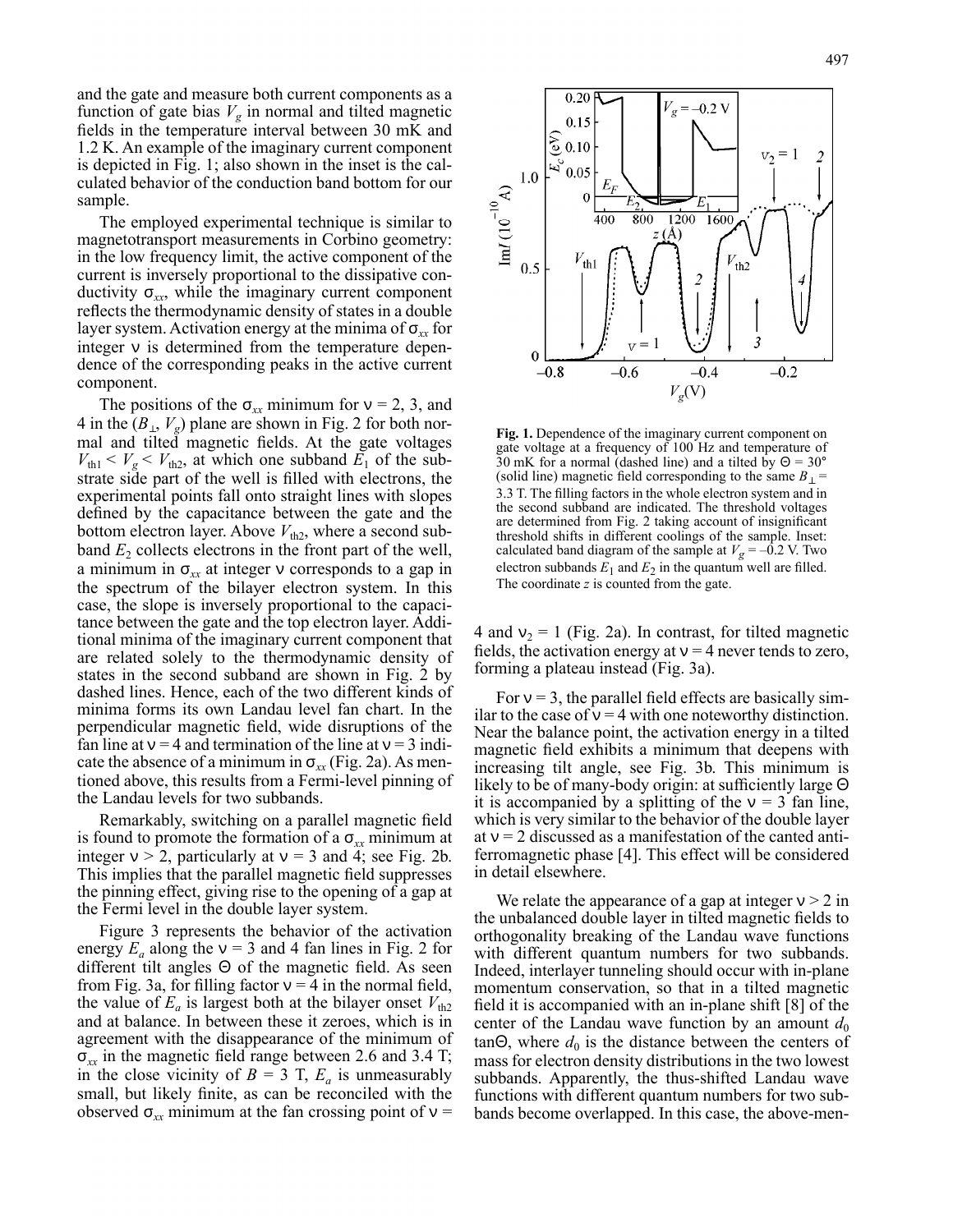and the gate and measure both current components as a function of gate bias  $V_g$  in normal and tilted magnetic fields in the temperature interval between 30 mK and 1.2 K. An example of the imaginary current component is depicted in Fig. 1; also shown in the inset is the calculated behavior of the conduction band bottom for our sample.

The employed experimental technique is similar to magnetotransport measurements in Corbino geometry: in the low frequency limit, the active component of the current is inversely proportional to the dissipative conductivity  $\sigma_{xx}$ , while the imaginary current component reflects the thermodynamic density of states in a double layer system. Activation energy at the minima of σ*xx* for integer  $\nu$  is determined from the temperature dependence of the corresponding peaks in the active current component.

The positions of the  $\sigma_{xx}$  minimum for  $v = 2, 3$ , and 4 in the  $(B_{\perp}, V_g)$  plane are shown in Fig. 2 for both normal and tilted magnetic fields. At the gate voltages  $V_{\text{th}} < V_{\text{g}} < V_{\text{th2}}$ , at which one subband  $E_1$  of the substrate side part of the well is filled with electrons, the experimental points fall onto straight lines with slopes defined by the capacitance between the gate and the bottom electron layer. Above  $V_{th2}$ , where a second subband  $E_2$  collects electrons in the front part of the well, a minimum in  $\sigma_{xx}$  at integer  $\nu$  corresponds to a gap in the spectrum of the bilayer electron system. In this case, the slope is inversely proportional to the capacitance between the gate and the top electron layer. Additional minima of the imaginary current component that are related solely to the thermodynamic density of states in the second subband are shown in Fig. 2 by dashed lines. Hence, each of the two different kinds of minima forms its own Landau level fan chart. In the perpendicular magnetic field, wide disruptions of the fan line at  $v = 4$  and termination of the line at  $v = 3$  indicate the absence of a minimum in  $\sigma_{xx}$  (Fig. 2a). As mentioned above, this results from a Fermi-level pinning of the Landau levels for two subbands.

Remarkably, switching on a parallel magnetic field is found to promote the formation of a  $\sigma_{xx}$  minimum at integer  $v > 2$ , particularly at  $v = 3$  and 4; see Fig. 2b. This implies that the parallel magnetic field suppresses the pinning effect, giving rise to the opening of a gap at the Fermi level in the double layer system.

Figure 3 represents the behavior of the activation energy  $E_a$  along the  $v = 3$  and 4 fan lines in Fig. 2 for different tilt angles Θ of the magnetic field. As seen from Fig. 3a, for filling factor  $v = 4$  in the normal field, the value of  $E_a$  is largest both at the bilayer onset  $V_{th2}$ and at balance. In between these it zeroes, which is in agreement with the disappearance of the minimum of σ*xx* in the magnetic field range between 2.6 and 3.4 T; in the close vicinity of  $B = 3$  T,  $E_a$  is unmeasurably small, but likely finite, as can be reconciled with the observed  $\sigma_{xx}$  minimum at the fan crossing point of  $v =$ 



**Fig. 1.** Dependence of the imaginary current component on gate voltage at a frequency of 100 Hz and temperature of 30 mK for a normal (dashed line) and a tilted by  $\Theta = 30^{\circ}$ (solid line) magnetic field corresponding to the same  $B_{\perp}$  = 3.3 T. The filling factors in the whole electron system and in the second subband are indicated. The threshold voltages are determined from Fig. 2 taking account of insignificant threshold shifts in different coolings of the sample. Inset: calculated band diagram of the sample at  $V_g = -0.2$  V. Two electron subbands  $E_1$  and  $E_2$  in the quantum well are filled. The coordinate *z* is counted from the gate.

4 and  $v_2 = 1$  (Fig. 2a). In contrast, for tilted magnetic fields, the activation energy at  $v = 4$  never tends to zero, forming a plateau instead (Fig. 3a).

For  $v = 3$ , the parallel field effects are basically similar to the case of  $v = 4$  with one noteworthy distinction. Near the balance point, the activation energy in a tilted magnetic field exhibits a minimum that deepens with increasing tilt angle, see Fig. 3b. This minimum is likely to be of many-body origin: at sufficiently large Θ it is accompanied by a splitting of the  $v = 3$  fan line, which is very similar to the behavior of the double layer at  $v = 2$  discussed as a manifestation of the canted antiferromagnetic phase [4]. This effect will be considered in detail elsewhere.

We relate the appearance of a gap at integer  $v > 2$  in the unbalanced double layer in tilted magnetic fields to orthogonality breaking of the Landau wave functions with different quantum numbers for two subbands. Indeed, interlayer tunneling should occur with in-plane momentum conservation, so that in a tilted magnetic field it is accompanied with an in-plane shift [8] of the center of the Landau wave function by an amount  $d_0$  $tan\Theta$ , where  $d_0$  is the distance between the centers of mass for electron density distributions in the two lowest subbands. Apparently, the thus-shifted Landau wave functions with different quantum numbers for two subbands become overlapped. In this case, the above-men-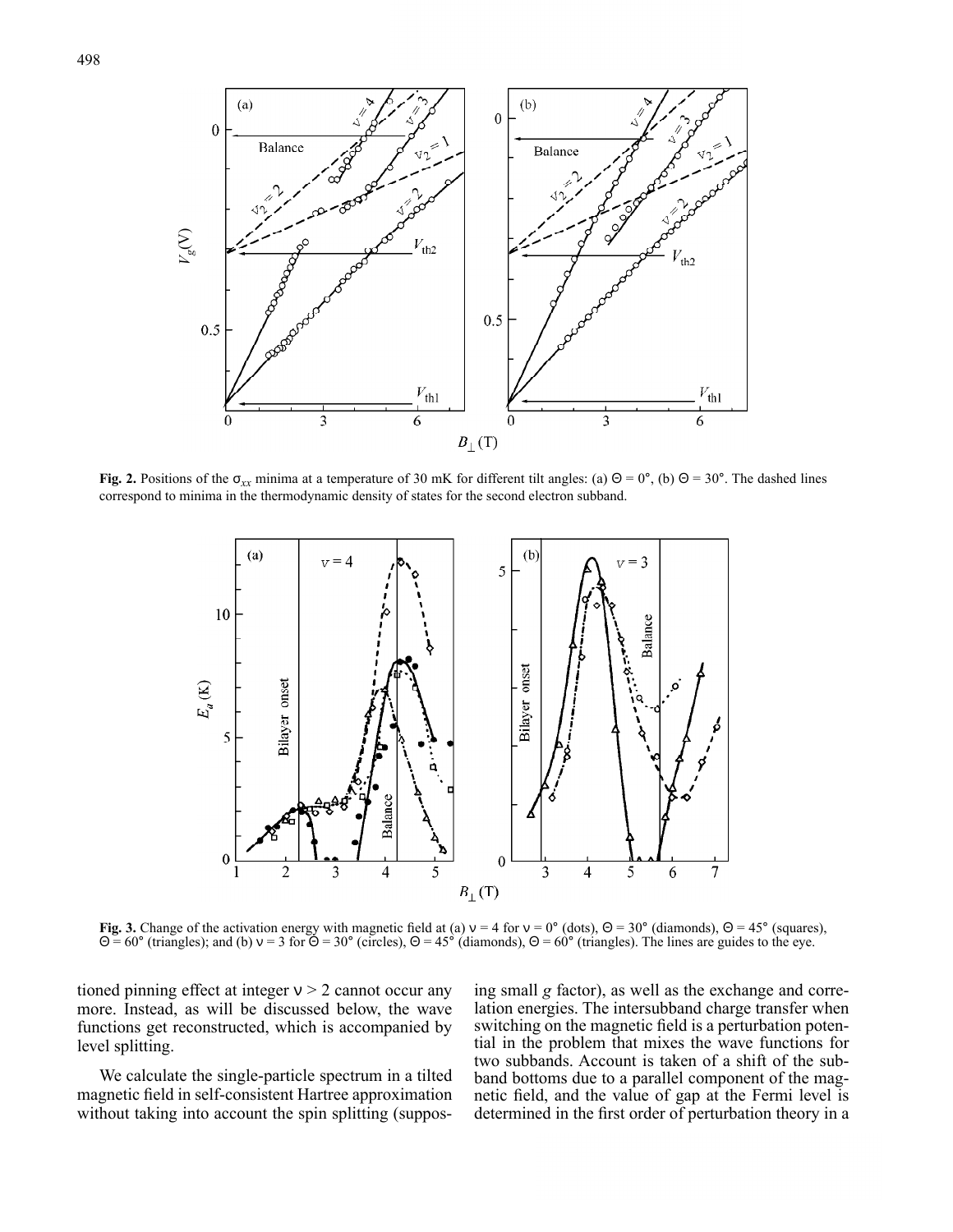

**Fig. 2.** Positions of the  $\sigma_{xx}$  minima at a temperature of 30 mK for different tilt angles: (a) Θ = 0°, (b) Θ = 30°. The dashed lines correspond to minima in the thermodynamic density of states for the second electron subband.



**Fig.** 3. Change of the activation energy with magnetic field at (a)  $v = 4$  for  $v = 0^{\circ}$  (dots),  $\Theta = 30^{\circ}$  (diamonds),  $\Theta = 45^{\circ}$  (squares),  $Θ = 60°$  (triangles); and (b)  $v = 3$  for  $Θ = 30°$  (circles),  $Θ = 45°$  (diamonds),  $Θ = 60°$  (triangles). The lines are guides to the eye.

tioned pinning effect at integer  $v > 2$  cannot occur any more. Instead, as will be discussed below, the wave functions get reconstructed, which is accompanied by level splitting.

We calculate the single-particle spectrum in a tilted magnetic field in self-consistent Hartree approximation without taking into account the spin splitting (supposing small *g* factor), as well as the exchange and correlation energies. The intersubband charge transfer when switching on the magnetic field is a perturbation potential in the problem that mixes the wave functions for two subbands. Account is taken of a shift of the subband bottoms due to a parallel component of the magnetic field, and the value of gap at the Fermi level is determined in the first order of perturbation theory in a